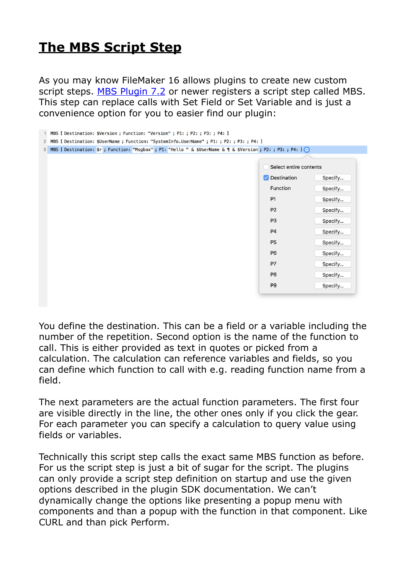## **[The MBS Script Step](https://www.mbsplugins.de/archive/2017-05-21/The_MBS_Script_Step)**

As you may know FileMaker 16 allows plugins to create new custom script steps. [MBS Plugin 7.2](http://www.mbsplugins.de/archive/2017-05-15/MBS_FileMaker_Plugin_72) or newer registers a script step called MBS. This step can replace calls with Set Field or Set Variable and is just a convenience option for you to easier find our plugin:

| MBS [ Destination: \$Version ; Function: "Version" ; P1: ; P2: ; P3: ; P4: ]<br>$\mathbf{1}$                       |                        |         |
|--------------------------------------------------------------------------------------------------------------------|------------------------|---------|
| MBS [ Destination: \$UserName ; Function: "SystemInfo.UserName" ; P1: ; P2: ; P3: ; P4: ]<br>$\overline{2}$        |                        |         |
| MBS [ Destination: \$r ; Function: "Msgbox" ; P1: "Hello " & \$UserName & 1 & \$Version ; P2: ; P3: ; P4: ] @<br>3 |                        |         |
|                                                                                                                    |                        |         |
|                                                                                                                    | Select entire contents |         |
|                                                                                                                    | Oestination            | Specify |
|                                                                                                                    | Function               | Specify |
|                                                                                                                    | <b>P1</b>              | Specify |
|                                                                                                                    | P <sub>2</sub>         | Specify |
|                                                                                                                    | P <sub>3</sub>         | Specify |
|                                                                                                                    | <b>P4</b>              | Specify |
|                                                                                                                    | P <sub>5</sub>         | Specify |
|                                                                                                                    | P <sub>6</sub>         | Specify |
|                                                                                                                    | <b>P7</b>              | Specify |
|                                                                                                                    | P <sub>8</sub>         | Specify |
|                                                                                                                    | P <sub>9</sub>         | Specify |
|                                                                                                                    |                        |         |
|                                                                                                                    |                        |         |

You define the destination. This can be a field or a variable including the number of the repetition. Second option is the name of the function to call. This is either provided as text in quotes or picked from a calculation. The calculation can reference variables and fields, so you can define which function to call with e.g. reading function name from a field.

The next parameters are the actual function parameters. The first four are visible directly in the line, the other ones only if you click the gear. For each parameter you can specify a calculation to query value using fields or variables.

Technically this script step calls the exact same MBS function as before. For us the script step is just a bit of sugar for the script. The plugins can only provide a script step definition on startup and use the given options described in the plugin SDK documentation. We can't dynamically change the options like presenting a popup menu with components and than a popup with the function in that component. Like CURL and than pick Perform.